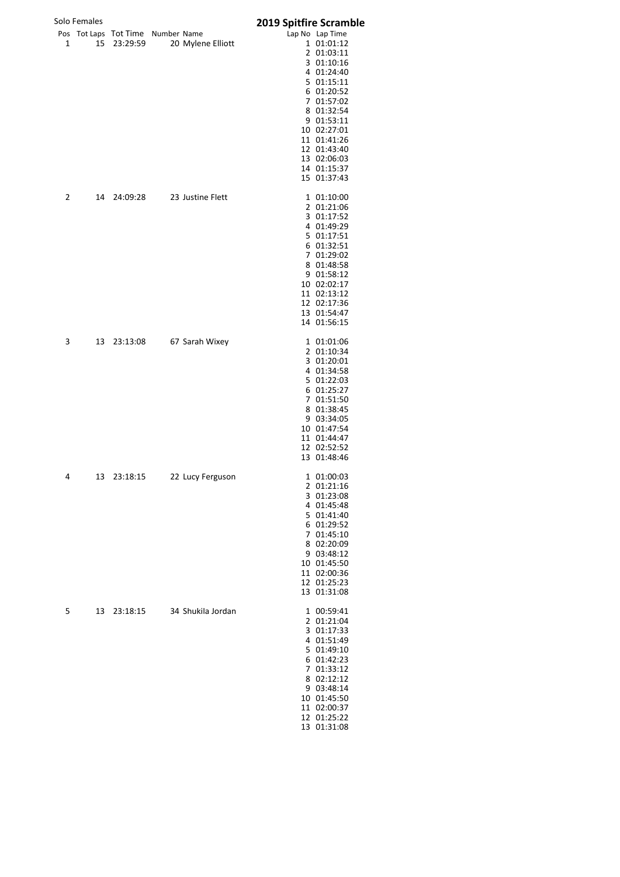|   | Solo Females |                                               |                   | <b>2019 Spitfire Scramble</b> |                                                                                                                                                                                                                                         |
|---|--------------|-----------------------------------------------|-------------------|-------------------------------|-----------------------------------------------------------------------------------------------------------------------------------------------------------------------------------------------------------------------------------------|
| 1 | 15           | Pos Tot Laps Tot Time Number Name<br>23:29:59 | 20 Mylene Elliott |                               | Lap No Lap Time<br>1 01:01:12<br>2 01:03:11<br>3 01:10:16<br>4 01:24:40<br>5 01:15:11<br>6 01:20:52<br>7 01:57:02<br>8 01:32:54<br>9 01:53:11<br>10 02:27:01<br>11 01:41:26<br>12 01:43:40<br>13 02:06:03<br>14 01:15:37<br>15 01:37:43 |
| 2 | 14           | 24:09:28                                      | 23 Justine Flett  |                               | 1 01:10:00<br>2 01:21:06<br>3 01:17:52<br>4 01:49:29<br>5 01:17:51<br>6 01:32:51<br>7 01:29:02<br>8 01:48:58<br>9 01:58:12<br>10 02:02:17<br>11 02:13:12<br>12 02:17:36<br>13 01:54:47<br>14 01:56:15                                   |
| 3 | 13           | 23:13:08                                      | 67 Sarah Wixey    |                               | 1 01:01:06<br>2 01:10:34<br>3 01:20:01<br>4 01:34:58<br>5 01:22:03<br>6 01:25:27<br>7 01:51:50<br>8 01:38:45<br>9 03:34:05<br>10 01:47:54<br>11 01:44:47<br>12 02:52:52<br>13 01:48:46                                                  |
| 4 | 13           | 23:18:15                                      | 22 Lucy Ferguson  |                               | 1 01:00:03<br>2 01:21:16<br>3 01:23:08<br>4 01:45:48<br>5 01:41:40<br>6 01:29:52<br>7 01:45:10<br>8 02:20:09<br>9 03:48:12<br>10 01:45:50<br>11 02:00:36<br>12 01:25:23<br>13 01:31:08                                                  |
| 5 | 13           | 23:18:15                                      | 34 Shukila Jordan |                               | 1 00:59:41<br>2 01:21:04<br>3 01:17:33<br>4 01:51:49<br>5 01:49:10<br>6 01:42:23<br>7 01:33:12<br>8 02:12:12<br>9 03:48:14<br>10 01:45:50<br>11 02:00:37<br>12 01:25:22<br>13 01:31:08                                                  |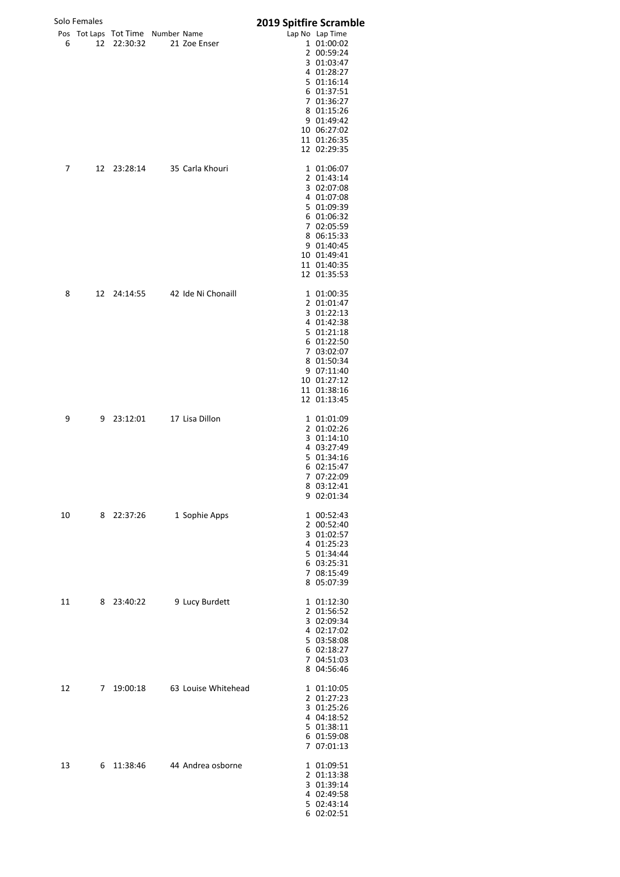|    | Solo Females |                                               |                     | 2019 Spitfire Scramble |                                                                                                                                                                                            |
|----|--------------|-----------------------------------------------|---------------------|------------------------|--------------------------------------------------------------------------------------------------------------------------------------------------------------------------------------------|
| 6  | 12           | Pos Tot Laps Tot Time Number Name<br>22:30:32 | 21 Zoe Enser        |                        | Lap No Lap Time<br>1 01:00:02<br>2 00:59:24<br>3 01:03:47<br>4 01:28:27<br>5 01:16:14<br>6 01:37:51<br>7 01:36:27<br>8 01:15:26<br>9 01:49:42<br>10 06:27:02<br>11 01:26:35<br>12 02:29:35 |
| 7  | 12           | 23:28:14                                      | 35 Carla Khouri     |                        | 1 01:06:07<br>2 01:43:14<br>3 02:07:08<br>4 01:07:08<br>5 01:09:39<br>6 01:06:32<br>7 02:05:59<br>8 06:15:33<br>9 01:40:45<br>10 01:49:41<br>11 01:40:35<br>12 01:35:53                    |
| 8  | 12           | 24:14:55                                      | 42 Ide Ni Chonaill  |                        | 1 01:00:35<br>2 01:01:47<br>3 01:22:13<br>4 01:42:38<br>5 01:21:18<br>6 01:22:50<br>7 03:02:07<br>8 01:50:34<br>9 07:11:40<br>10 01:27:12<br>11 01:38:16<br>12 01:13:45                    |
| 9  | 9            | 23:12:01                                      | 17 Lisa Dillon      |                        | 1 01:01:09<br>2 01:02:26<br>3 01:14:10<br>4 03:27:49<br>5 01:34:16<br>6 02:15:47<br>7 07:22:09<br>8 03:12:41<br>9 02:01:34                                                                 |
| 10 | 8            | 22:37:26                                      | 1 Sophie Apps       |                        | 1 00:52:43<br>2 00:52:40<br>3 01:02:57<br>4 01:25:23<br>5 01:34:44<br>6 03:25:31<br>7 08:15:49<br>8 05:07:39                                                                               |
| 11 | 8            | 23:40:22                                      | 9 Lucy Burdett      |                        | 1 01:12:30<br>2 01:56:52<br>3 02:09:34<br>4 02:17:02<br>5 03:58:08<br>6 02:18:27<br>7 04:51:03<br>8 04:56:46                                                                               |
| 12 | 7            | 19:00:18                                      | 63 Louise Whitehead |                        | 1 01:10:05<br>2 01:27:23<br>3 01:25:26<br>4 04:18:52<br>5 01:38:11<br>6 01:59:08<br>7 07:01:13                                                                                             |
| 13 | 6            | 11:38:46                                      | 44 Andrea osborne   |                        | 1 01:09:51<br>2 01:13:38<br>3 01:39:14<br>4 02:49:58<br>5 02:43:14<br>6 02:02:51                                                                                                           |